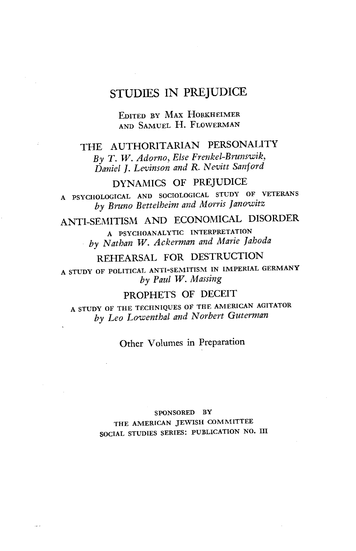# STUDIES IN PREJUDICE

EDITED BY MAX HORKHEIMER<br>AND SAMUEL H. FLOWERMAN<br>UTHORITARIAN PERSO.<br>W. Adorno, Else Frenkel-Bru<br>I J. Levinson and R. Nevitt Sa

THE AUTHORITARIAN PERSONALITY<br>
By T. W. Adorno, Else Frenkel-Brunswik,<br>
Daniel J. Levinson and R. Nevitt Sanford<br>
DYNAMICS OF PREJUDICE<br>
YCHOLOGICAL AND SOCIOLOGICAL STUDY OF VET.<br>
by Bruno Bettelbeim and Morris Janowitz<br> A PSYCHOLOGICAL AND SOCIOLOGICAL STUDY OF VETERANS<br>
by Bruno Bettelheim and Morris Janowitz<br>
ANTI-SEMITISM AND ECONOMICAL DISORDER<br>
A PSYCHOANALYTIC INTERPRETATION<br>
by Nathan W. Ackerman and Marie Jahoda<br>
REHEARSAL FOR DES

SEMITISM AND ECONOMICAL DISORDER<br>
A PSYCHOANALYTIC INTERPRETATION<br>
by Nathan W. Ackerman and Marie Jahoda<br>
REHEARSAL FOR DESTRUCTION<br>
v of political ANTI-SEMITISM IN IMPERIAL GERMANY<br>
by Paul W. Massing<br>
PROPHETS OF DECEIT A STUDY OF POLITICAL ANTI-SEMITISM IN IMPERIAL GERMANY<br>  $by$  Paul W. Massing<br>
PROPHETS OF DECEIT<br>
A STUDY OF THE TECHNIQUES OF THE AMERICAN AGITATOR<br>  $by$  Leo Lowenthal and Norbert Guterman

by Leo Lowenthal and Norbert Guterman

Other Volumes in Preparation

### SPONSORED BY

THE AMERICAN JEWISH COMMITTEE<br>SOCIAL STUDIES SERIES: PUBLICATION NO. III<br>THE SERIES: PUBLICATION NO. III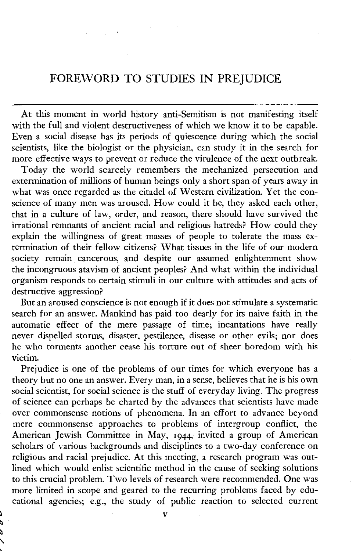## FOREWORD TO STUDIES IN PREJUDICE

At this moment in world history anti-Semitism is not manifesting itself with the full and violent destructiveness of which we know it to be capable. Even a social disease has its periods of quiescence during which the soci more effective ways to prevent or reduce the virulence of the next outbreak.<br>Today the world scarcely remembers the mechanized persecution and

more effective ways to prevent or reduce the virulence of the next outbreak.<br>Today the world scarcely remembers the mechanized persecution and<br>extermination of millions of human beings only a short span of years away in what was once regarded as the citadel of Western civilization. Yet the conscience of many men was aroused. How could it be, they asked each other, that in a culture of law, order, and reason, there should have survived the irrational remnants of ancient racial and religious hatreds? How could they explain the willingness of great masses of people to tolerate the mass ex-<br>termination of their fellow citizens? What tissues in the life of our modern<br>society remain cancerous, and despite our assumed enlightenment show explain the willingness of great masses of people to tolerate the mass ex-<br>termination of their fellow citizens? What tissues in the life of our modern<br>society remain cancerous, and despite our assumed enlightenment show<br>t society remain cancerous, and despite our assumed enlightenment show<br>the incongruous atavism of ancient peoples? And what within the individua<br>organism responds to certain stimuli in our culture with attitudes and acts of<br>

organism responds to certain stimuli in our culture with attitudes and acts of destructive aggression?<br>But an aroused conscience is not enough if it does not stimulate a systematic<br>search for an answer. Mankind has paid to search for an answer. Mankind has paid too dearly for its naive faith in the<br>automatic effect of the mere passage of time; incantations have really<br>never dispelled storms, disaster, pestilence, disease or other evils; nor automatic effect of the mere passage of time; incantations have really<br>never dispelled storms, disaster, pestilence, disease or other evils; nor does<br>he who torments another cease his torture out of sheer boredom with his<br> never dispelled storms, disaster, pestilence, disease or other evils; nor does<br>he who torments another cease his torture out of sheer boredom with his<br>victim.<br>Prejudice is one of the problems of our times for which everyon

victim.<br>Prejudice is one of the problems of our times for which everyone has a<br>theory but no one an answer. Every man, in a sense, believes that he is his own social scientist, for social science is the stuff of everyday living. The progress<br>of science can perhaps be charted by the advances that scientists have made<br>over commonsense notions of phenomena. In an effort to advance social scientist, for social science is the stuff of everyday living. The progress of science can perhaps be charted by the advances that scientists have made over commonsense notions of phenomena. In an effort to advance American Jewish Committee in May, 1944, invited a group of American mere commonsense approaches to problems of intergroup conflict, the<br>American Jewish Committee in May, 1944, invited a group of American<br>scholars of various backgrounds and disciplines to a two-day conference on<br>religious a American Jewish Committee in May, 1944, invited a group of American<br>scholars of various backgrounds and disciplines to a two-day conference on<br>religious and racial prejudice. At this meeting, a research program was out-<br>li religious and racial prejudice. At this meeting, a research program was outlined which would enlist scientific method in the cause of seeking solutions to this crucial problem. Two levels of research were recommended. One lined which would enlist scientific method in the cause of seeking solutions more limited in scope and geared to the recurring problems faced by edumore limited in scope and geared to the recurring problems faced by edu-<br>cational agencies; e.g., the study of public reaction to selected current<br> $v$ 

v<sub>v</sub>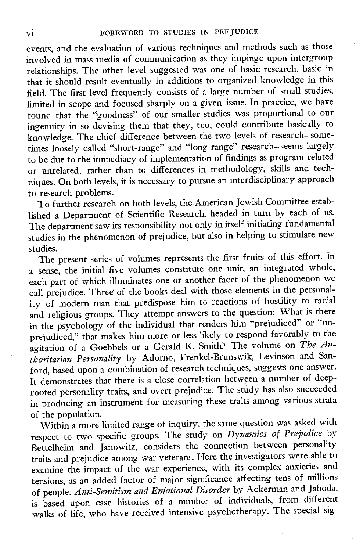vi FOREWORD TO STUDIES IN PREJUDICE<br>events, and the evaluation of various techniques and methods such as those<br>involved in mass media of communication as they impinge upon intergroup events, and the evaluation of various techniques and methods such as those involved in mass media of communication as they impinge upon intergroup relationships. The other level suggested was one of basic research, basic i relationships. The other level suggested was one of basic research, basic in this field. The first level frequently consists of a large number of small studies, limited in scope and focused sharply on a given issue. In pra that it should result eventually in additions to organized knowledge in this field. The first level frequently consists of a large number of small studies, limited in scope and focused sharply on a given issue. In practice found that the "goodness" of our smaller studies was proportional to our ingenuity in so devising them that they, too, could contribute basically to knowledge. The chief difference between the two levels of research–some-t knowledge. The chief difference between the two levels of research–some-<br>times loosely called "short-range" and "long-range" research–seems largely<br>to be due to the immediacy of implementation of findings as program-relate ns largely<br>m-related<br>und tech-<br>approach to be due to the immediacy of implementation of findings as program-related or unrelated, rather than to differences in methodology, skills and techniques. On both levels, it is necessary to pursue an interdisciplinary app

or unrelated, rather than to differences in methodology, skills and tech-<br>niques. On both levels, it is necessary to pursue an interdisciplinary approach<br>to research problems. To further research on both levels, the Americ To further research on both levels, the American Jewish Committee estab-<br>lished a Department of Scientific Research, headed in turn by each of us.<br>The department saw its responsibility not only in itself initiating fundame lished a Department of Scientific Research, headed in turn by each of us.<br>The department saw its responsibility not only in itself initiating fundamental<br>studies in the phenomenon of prejudice, but also in helping to stimu The department saw its responsibility not only in itself initiating fundamental<br>studies in the phenomenon of prejudice, but also in helping to stimulate new<br>studies.<br>The present series of volumes represents the first fruit

o stimulate new<br>f this effort. In<br>tegrated whole<br>bhenomenon we studies.<br>The present series of volumes represents the first fruits of this effort. In<br>a sense, the initial five volumes constitute one unit, an integrated whole,<br>each part of which illuminates one or another facet of the p a sense, the initial five volumes constitute one unit, an integrated whole, each part of which illuminates one or another facet of the phenomenon we call prejudice. Three of the books deal with those elements in the person call prejudice. Three of the books deal with those elements in the personality of modern man that predispose him to reactions of hostility to racia and religious groups. They attempt answers to the question: What is there ity of modern man that predispose him to reactions of hostility to racial<br>and religious groups. They attempt answers to the question: What is there<br>in the psychology of the individual that renders him "prejudiced" or "un-<br> and religious groups. They attempt answers to the question: What is there<br>in the psychology of the individual that renders him "prejudiced" or "un-<br>prejudiced," that makes him more or less likely to respond favorably to t in the psychology of the individual that renders him "prejudiced" or "un-<br>prejudiced," that makes him more or less likely to respond favorably to the<br>agitation of a Goebbels or a Gerald K. Smith? The volume on *The Au-*<br>t It demonstrates that there is a close correlation between a number of deep-<br>rooted personality traits, and overt prejudice. The study has also succeeded<br>in producing an instrument for measuring these traits among various s rooted personality traits, and overt prejudice. The study has also succeeded<br>in producing an instrument for measuring these traits among various strata<br>of the population.<br>Within a more limited range of inquiry, the same qu

in producing an instrument for measuring these traits among various strata<br>of the population.<br>Within a more limited range of inquiry, the same question was asked with<br>respect to two specific groups. The study on *Dynamics* Within a more limited range of inquiry, the same question was asked with respect to two specific groups. The study on Dynamics of Prejudice by Bettelheim and Janowitz, considers the connection between personality traits an Bettelheim and Janowitz, considers the connection between personality traits and prejudice among war veterans. Here the investigators were able to examine the impact of the war experience, with its complex anxieties and te examine the impact of the war experience, with its complex anxieties and<br>tensions, as an added factor of major significance affecting tens of millions<br>of people. Anti-Semitism and Emotional Disorder by Ackerman and Jahoda, of people. *Anti-Semitism and Emotional Disorder* by Ackerman and Jahoda, is based upon case histories of a number of individuals, from different walks of life, who have received intensive psychotherapy. The special sig-<br>w e psychotherapy. The special sig-<br>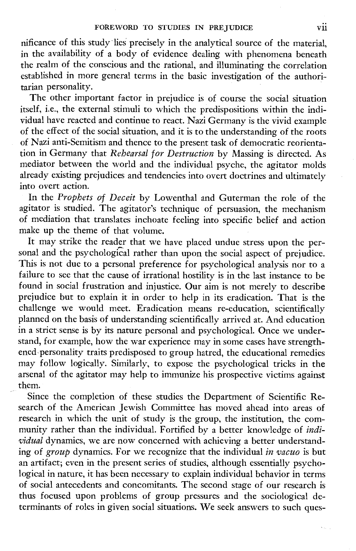FOREWORD TO STUDIES IN PREJUDICE vii<br>
in the availability of a body of evidence dealing with phenomena beneath<br>
the realm of the conscious and the rational, and illuminating the correlation<br>
established in more general ter the realm of the conscious and the rational, and illuminating the correlation<br>established in more general terms in the basic investigation of the authori-<br>tarian personality.<br>The other important factor in prejudice is of c

established in more general terms in the basic investigation of the authoritarian personality.<br>The other important factor in prejudice is of course the social situation<br>itself, i.e., the external stimuli to which the predi itself, i.e., the external stimuli to which the predispositions within the individual have reacted and continue to react. Nazi Germany is the vivid example of the effect of the social situation, and it is to the understand of the effect of the social situation, and it is to the understanding of the roots of Nazi anti-Semitism and thence to the present task of democratic reorientation in Germany that *Rebearsal for Destruction* by Massing is mediator between the world and the individual psyche, the agitator molds already existing prejudices and tendencies into overt doctrines and ultimately into overt action.

In the Prophets of Deceit by Lowenthal and Guterman the role of the agitator is studied. The agitator's technique of persuasion, the mechanism of mediation that translates inchoate feeling into specific belief and action make up the theme of that volume. of mediation that translates inchoate feeling into specific belief and action<br>make up the theme of that volume.<br>It may strike the reader that we have placed undue stress upon the per-

sonal and the psychological rather than upon the social aspect of prejudice.<br>This is not due to a personal preference for psychological analysis nor to a<br>failure to see that the cause of irrational hostility is in the last found in social frustration and injustice. Our aim is not merely to describe prejudice but to explain it in order to help in its eradication. That is the challenge we would meet. Eradication means re-education, scientifica prejudice but to explain it in order to help in its eradication. That is the prejudice but to explain it in order to help in its eradication. That is the challenge we would meet. Eradication means re-education, scientifically planned on the basis of understanding scientifically arrived at. And educ challenge we would meet. Eradication means re-education, scientifically planned on the basis of understanding scientifically arrived at. And education in a strict sense is by its nature personal and psychological. Once we planned on the basis of understanding scientifically arrived at. And education<br>in a strict sense is by its nature personal and psychological. Once we under-<br>stand, for example, how the war experience may in some cases have in a strict sense is by its nature personal and psychological. Once we under-<br>stand, for example, how the war experience may in some cases have strength-<br>ened personality traits predisposed to group hatred, the educational may follow logically. Similarly, to expose the psychological tricks in the arsenal of the agitator may help to immunize his prospective victims against<br>them.<br>Since the completion of these studies the Department of Scientific Re-

search of the American Jewish Committee has moved ahead into areas of research in which the unit of study is the group, the institution, the community rather than the individual. Fortified by a better knowledge of *indi*research in which the unit of study is the group, the institution, the com-<br>munity rather than the individual. Fortified by a better knowledge of *indi-*<br>*vidual* dynamics, we are now concerned with achieving a better unde munity rather than the individual. Fortified by a better knowledge of *individual* dynamics, we are now concerned with achieving a better understanding of *group* dynamics. For we recognize that the individual *in vacuo* i ing of group dynamics. For we recognize that the individual in vacuo is but an artifact; even in the present series of studies, although essentially psychological in nature, it has been necessary to explain individual behavior in terms of social antecedents and concomitants. The second stage of our research is thus focused upon problems of group pressures and the sociological dethus focused upon problems of group pressures and the sociological determinants of roles in given social situations. We seek answers to such ques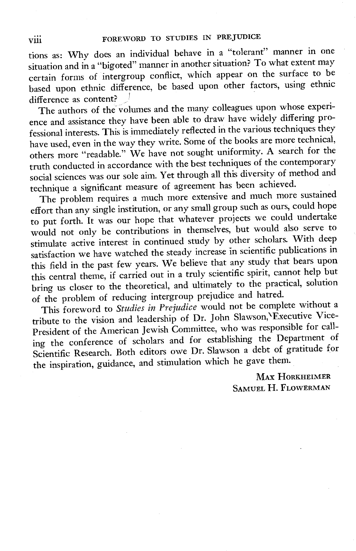Viii FOREWORD TO STUDIES IN PREJUDICE<br>tions as: Why does an individual behave in a "tolerant" manner in one tions as: Why does an individual behave in a "tolerant" manner in one<br>situation and in a "bigoted" manner in another situation? To what extent may<br>certain forms of intergroup conflict, which appear on the surface to be<br>bas based upon ethnic difference, be based upon other factors, using ethnic<br>difference as content?<br>The authors of the volumes and the many colleagues upon whose experi-

based upon ethnic difference, be based upon other factors, using ethnic<br>difference as content?<br>The authors of the volumes and the many colleagues upon whose experi-<br>ence and assistance they have been able to draw have wide the absolution and assistance they have been able to draw have widely differing pro-<br>fessional interests. This is immediately reflected in the various techniques they<br>have used, even in the way they write. Some of the book fessional interests. This is immediately reflected in the various techniques they have used, even in the way they write. Some of the books are more technical, others more "readable." We have not sought uniformity. A search t sought uniformity. A search for the<br>he best techniques of the contemporary<br>hrough all this diversity of method and truth conducted in accordance with the best techniques of the contemporar<br>social sciences was our sole aim. Yet through all this diversity of method an<br>technique a significant measure of agreement has been achieved.<br>The pr

truth conducted in accordance with the best techniques of the contemporary social sciences was our sole aim. Yet through all this diversity of method and technique a significant measure of agreement has been achieved. The social sciences was our sole aim. Yet through all this diversity of method and technique a significant measure of agreement has been achieved.<br>The problem requires a much more extensive and much more sustained effort than The problem requires a much more extensive and much more sustained effort than any single institution, or any small group such as ours, could hope to put forth. It was our hope that whatever projects we could undertake wou to put forth. It was our hope that whatever projects we could undertake would not only be contributions in themselves, but would also serve to stimulate active interest in continued study by other scholars. With deep satis the must be vertilibrations in themselves, but would also serve to stimulate active interest in continued study by other scholars. With deep satisfaction we have watched the steady increase in scientific publications in th stimulate active interest in continued study by other scholars. With deep satisfaction we have watched the steady increase in scientific publications in this field in the past few years. We believe that any study that bear this central theme, if carried out in a truly scientific spirit, cannot help but<br>bring us closer to the theoretical, and ultimately to the practical, solution believe that any study that bears upon this central theme, if carried out in a truly scientific spirit, cannot help but bring us closer to the theoretical, and ultimately to the practical, solution of the problem of reduci

of the problem of reducing intergroup prejudice and hatred.<br>This foreword to *Studies in Prejudice* would not be complete without<br>tribute to the vision and leadership of Dr. John Slawson, Executive Vice<br>President of the Am This foreword to *Studies in Prejudice* would not be complete without a tribute to the vision and leadership of Dr. John Slawson, Executive Vice-<br>President of the American Jewish Committee, who was responsible for call-<br>in tribute to the vision and leadership of Dr. John Slawson, Executive Vice-<br>President of the American Jewish Committee, who was responsible for call-<br>ing the conference of scholars and for establishing the Department of<br>Scie President of the American Jewish Committee, who was responsible for call-<br>
ing the conference of scholars and for establishing the Department of<br>
Scientific Research. Both editors owe Dr. Slawson a debt of gratitude for<br>
t the inspiration, guidance, and stimulation which he gave them.<br>MAX HORKHEIMER<br>SAMUEL H. FLOWERMAN

SAMUEL H. FLOWERMAN

Viii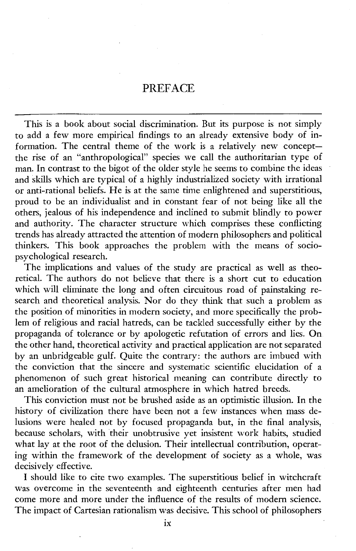## **PREFACE**

This is a book about social discrimination. But its purpose is not simply to add a few more empirical findings to an already extensive body of information. The central theme of the work is a relatively new concept—the rise the rise of an "anthropological" species we call the authoritarian type of and skills which are typical of a highly industrialized society with irrational<br>or anti-rational beliefs. He is at the same time enlightened and superstitious,<br>proud to be an individualist and in constant fear of not being thinkers. This book approaches the problem with the means of socio-<br>psychological research.<br>The implications and values of the study are practical as well as theo-

retical. The authors do not believe that there is a short cut to education which will eliminate the long and often circuitous road of painstaking reretical. The authors do not believe that there is a short cut to education<br>which will eliminate the long and often circuitous road of painstaking re-<br>search and theoretical analysis. Nor do they think that such a problem a which will eliminate the long and often circuitous road of painstaking research and theoretical analysis. Nor do they think that such a problem at<br>the position of minorities in modern society, and more specifically the pro the position of minorities in modern society, and more specifically the prob-<br>lem of religious and racial hatreds, can be tackled successfully either by the<br>propaganda of tolerance or by apologetic refutation of errors and the other hand, theoretical activity and practical application are not separated<br>by an unbridgeable gulf. Quite the contrary: the authors are imbued with<br>the conviction that the sincere and systematic scientific elucidatio the other hand, theoretical activity and practical application are not separated<br>by an unbridgeable gulf. Quite the contrary: the authors are imbued with<br>the conviction that the sincere and systematic scientific elucidatio by an unbridgeable gulf. Quite the contrary: the authors are imbued with<br>the conviction that the sincere and systematic scientific elucidation of a<br>phenomenon of such great historical meaning can contribute directly to<br>an the conviction that the sincere and systematic scientific elucidation of a<br>phenomenon of such great historical meaning can contribute directly to<br>an amelioration of the cultural atmosphere in which hatred breeds.<br>This conv

an amelioration of the cultural atmosphere in which hatred breeds.<br>This conviction must not be brushed aside as an optimistic illusion. In the history of civilization there have been not a few instances when mass delusions were healed not by focused propaganda but, in the final analysis, history of civilization there have been not a few instances when mass de-<br>lusions were healed not by focused propaganda but, in the final analysis<br>because scholars, with their unobtrusive yet insistent work habits, studied what lay at the root of the delusion. Their intellectual contribution, operating within the framework of the development of society as a whole, was what lay at the root of the delusion. Their intellectual contribution, operat-<br>ing within the framework of the development of society as a whole, was<br>decisively effective.<br>I should like to cite two examples. The superstiti

decisively effective.<br>I should like to cite two examples. The superstitious belief in witchcraft<br>was overcome in the seventeenth and eighteenth centuries after men had was overcome in the seventeenth and eighteenth centuries after men had<br>come more and more under the influence of the results of modern science. come more and more under the influence of the results of modern science. The impact of Cartesian rationalism was decisive. This school of philosophers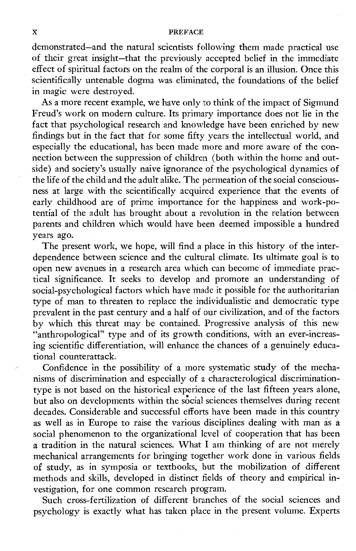PREFACE<br>demonstrated—and the natural scientists following them made practical use<br>of their great insight—that the previously accepted belief in the immediate<br>effect of spiritual factors on the realm of the corporal is an i of their great insight—that the previously accepted belief in the immediate<br>effect of spiritual factors on the realm of the corporal is an illusion. Once this<br>scientifically untenable dogma was eliminated, the foundations scientifically untenable dogma was eliminated, the foundations of the belief in magic were destroved. scientifically untenable dogma was eliminated, the foundations of the belief<br>in magic were destroyed.<br>As a more recent example, we have only to think of the impact of Sigmund<br>Freud's work on modern culture. Its primary imp

Freud's work on modern culture. Its primary importance does not lie in the fact that psychological research and knowledge have been enriched by new findings but in the fact that for some fifty years the intellectual world, and especially the educational, has been made more and more aware of the c factor factor that suppression of children (both within the home and out-<br>side) and society's usually naive ignorance of the psychological dynamics of findings but in the fact that for some fifty years the intellectual world, and<br>especially the educational, has been made more and more aware of the con-<br>nection between the suppression of children (both within the home and early childhood are of prime importance for the happiness and work-potential of the adult has brought about a revolution in the relation between parents and children which would have been deemed impossible a hundred years ago.

parents and children which would have been deemed impossible a hundred<br>years ago.<br>The present work, we hope, will find a place in this history of the inter-<br>dependence between science and the cultural climate. Its ultimate years ago.<br>The present work, we hope, will find a place in this history of the inter-<br>dependence between science and the cultural climate. Its ultimate goal is to<br>open new avenues in a research area which can become of imm dependence between science and the cultural conduction of immediate practical significance. It seeks to develop and promote an understanding of open new avenues in a research area which can become of immediate practical significance. It seeks to develop and promote an understanding of social-psychological factors which have made it possible for the authoritarian t social-psychological factors which have made it possible for the authoritarian<br>type of man to threaten to replace the individualistic and democratic type<br>prevalent in the past century and a half of our civilization, and of type of man to threaten to replace the individualistic and democratic type<br>prevalent in the past century and a half of our civilization, and of the factors<br>by which this threat may be contained. Progressive analysis of thi prevalent in the past century and a half of our civilization, and of the factors<br>by which this threat may be contained. Progressive analysis of this new<br>"anthropological" type and of its growth conditions, with an ever-inc

"anthropological" type and of its growth conditions, with an ever-increas-<br>ing scientific differentiation, will enhance the chances of a genuinely educa-<br>tional counterattack.<br>Confidence in the possibility of a more system nisms of discrimination and especially of a characterological discrimination-<br>type is not based on the historical experience of the last fifteen years alone<br>but also on developments within the social sciences themselves du type is not based on the historical experience of the last fifteen years alone,<br>but also on developments within the social sciences themselves during recent<br>decades. Considerable and successful efforts have been made in th decades. Considerable and successful efforts have been made in this country as well as in Europe to raise the various disciplines dealing with man as a social phenomenon to the organizational level of cooperation that has been as well as in Europe to raise the various disciplines dealing with man as a<br>social phenomenon to the organizational level of cooperation that has been<br>a tradition in the natural sciences. What I am thinking of are not mere social phenomenon to the organizational level of cooperation that has been<br>a tradition in the natural sciences. What I am thinking of are not merely<br>mechanical arrangements for bringing together work done in various fields a tradition in the natural sciences. What I am thinking of are not merely<br>mechanical arrangements for bringing together work done in various fields<br>of study, as in symposia or textbooks, but the mobilization of different<br>m of study, as in symposia or textbooks, but the mobilization of different methods and skills, developed in distinct fields of theory and empirical investigation, for one common research program.

Such cross-fertilization of different branches of the social sciences and Such cross-fertilization of different branches of the social sciences and<br>ychology is exactly what has taken place in the present volume. Experts psychology is exactly what has taken place in the present volume. Experts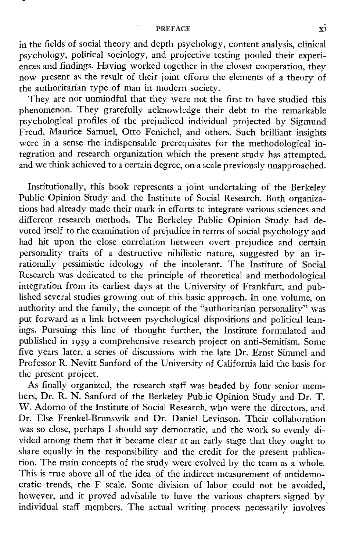### PREFACE

Xi<br>in the fields of social theory and depth psychology, content analysis, clinical<br>psychology, political sociology, and projective testing pooled their experi-<br>ences and findings. Having worked together in the closest coop now present as the result of their joint efforts the elements of a theory of the authoritarian type of man in modern society.

They are not unmindful that they were not the first to have studied this phenomenon. They gratefully acknowledge their debt to the remarkable phenomenon<br>psychological profiles of the prejudiced individual projected by Sigmund<br>Freud, Maurice Samuel, Otto Fenichel, and others. Such brilliant insights psychological profiles of the prejudiced individual projected by Sigmund<br>Freud, Maurice Samuel, Otto Fenichel, and others. Such brilliant insights<br>were in a sense the indispensable prerequisites for the methodological in-<br> Freud, Maurice Samuel, Otto Fenichel, and others. Such brilliant insight<br>were in a sense the indispensable prerequisites for the methodological in-<br>tegration and research organization which the present study has attempted<br> tegration and research organization which the present study has attempted, and we think achieved to a certain degree, on a scale previously unapproached.

Institutionally, this book represents a joint undertaking of the Berkeley Public Opinion Study and the Institute of Social Research. Both organizations had already made their mark in efforts to integrate various sciences and different research methods. The Berkeley Public Opinion Study had devoted itself to the examination of prejudice in terms of social psychology had hit upon the close correlation between overt prejudice and certain personality traits of a destructive nihilistic nature, suggested by an irrationally pessimistic ideology of the intolerant. The Institute of Social had hit upon the close correlation between overt prejudice and certain<br>personality traits of a destructive nihilistic nature, suggested by an ir-<br>rationally pessimistic ideology of the intolerant. The Institute of Social<br>R personality traits of a destructive nihilistic nature, suggested by an ir-<br>rationally pessimistic ideology of the intolerant. The Institute of Social<br>Research was dedicated to the principle of theoretical and methodologica integration from its earliest days at the University of Frankfurt, and pub-<br>lished several studies growing out of this basic approach. In one volume, on<br>authority and the family, the concept of the "authoritarian personali lished several studies growing out of this basic approach. In one volume, or<br>authority and the family, the concept of the "authoritarian personality" was<br>put forward as a link between psychological dispositions and politic authority and the family, the concept of the "authoritarian personality" was<br>put forward as a link between psychological dispositions and political lean-<br>ings. Pursuing this line of thought further, the Institute formulate put forward as a link between psychological dispositions and political lean-<br>ings. Pursuing this line of thought further, the Institute formulated and<br>published in 1939 a comprehensive research project on anti-Semitism. So published in 1939 a comprehensive research project on anti-Semitism. Some<br>five years later, a series of discussions with the late Dr. Ernst Simmel and<br>Professor R. Nevitt Sanford of the University of California laid the ba

From Frontia California laid the University As finally organized, the research staff was headed by four senior mem-<br>bers, Dr. R. N. Sanford of the Berkeley Public Opinion Study and Dr. T. W. Adorno of the Institute of Social Research, who were the directors, and Dr. Else Frenkel-Brunswik and Dr. Daniel Levinson. Their collaboration was so close, perhaps I should say democratic, and the work so evenly di-Dr. Else Frenkel-Brunswik and Dr. Daniel Levinson. Their collaboration was so close, perhaps I should say democratic, and the work so evenly divided among them that it became clear at an early stage that they ought to shar was so close, perhaps I should say democratic, and the work so evenly di-<br>vided among them that it became clear at an early stage that they ought to<br>share equally in the responsibility and the credit for the present public tion. The main concepts of the study were evolved by the team as a whole.<br>This is true above all of the idea of the indirect measurement of antidemo-<br>cratic trends, the F scale. Some division of labor could not be avoided, however, and it proved advisable to have the various chapters signed by however, and it proved advisable to have the various chapters signed by<br>individual staff members. The actual writing process necessarily involves individual staff members. The actual writing process necessarily involves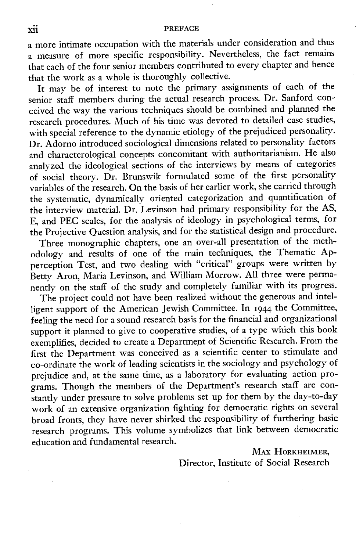xii<br>a more intimate occupation with the materials under consideration and thus a more intimate occupation with the materials under consideration and thus<br>a measure of more specific responsibility. Nevertheless, the fact remains<br>that each of the four senior members contributed to every chapter and hen that each of the four senior members contributed to every chapter and hence<br>that the work as a whole is thoroughly collective.<br>It may be of interest to note the primary assignments of each of the<br>senior staff members durin

that each of the four senior members contributed to every chapter and hence<br>that the work as a whole is thoroughly collective.<br>It may be of interest to note the primary assignments of each of the<br>senior staff members durin It may be of interest to note the primary assignments of each of the<br>senior staff members during the actual research process. Dr. Sanford con-<br>ceived the way the various techniques should be combined and planned the<br>resear ceived the way the various techniques should be combined and planned the<br>research procedures. Much of his time was devoted to detailed case studies,<br>with special reference to the dynamic etiology of the prejudiced personal and characterological concepts concomitant with authoritarianism. He also analyzed the ideological sections of the interviews by means of categories of social theory. Dr. Brunswik formulated some of the first personality analyzed the ideological sections of the interviews by means of categories<br>of social theory. Dr. Brunswik formulated some of the first personality<br>variables of the research. On the basis of her earlier work, she carried th the systematic, dynamically oriented categorization and quantification of the interview material. Dr. Levinson had primary responsibility for the AS, E, and PEC scales, for the analysis of ideology in psychological terms, the systematic, dynamically oriented categorization and quantification of<br>the interview material. Dr. Levinson had primary responsibility for the AS,<br>E, and PEC scales, for the analysis of ideology in psychological terms,

Three monographic chapters, one an over-all presentation of the methodology and results of one of the main techniques, the Thematic Apperception Test, and two dealing with "critical" groups were written by<br>Betty Aron, Maria Levinson, and William Morrow. All three were perma-<br>nently on the staff of the study and completely familiar with its progress. Betty Aron, Maria Levinson, and William Morrow. All three were permanently on the staff of the study and completely familiar with its progress.<br>The project could not have been realized without the generous and intel-

ligent support of the American Jewish Committee. In 1944 the Committee, feeling the need for a sound research basis for the financial and organizational support it planned to give to cooperative studies, of a type which this book ligent support of the American Jewish Committee. In 1944 the Committee, feeling the need for a sound research basis for the financial and organizational support it planned to give to cooperative studies, of a type which th be which this book<br>Research. From the<br>er to stimulate and<br>and psychology of<br>luating action proexemplifies, decided to create a Department of Scientific Research. From the first the Department was conceived as a scientific center to stimulate and co-ordinate the work of leading scientists in the sociology and psycho prejudice and, at the same time, as a laboratory for evaluating action programs. Though the members of the Department's research staff are constantly under pressure to solve problems set up for them by the day-to-day work grams. Though the members of the Department's research staff are con-<br>stantly under pressure to solve problems set up for them by the day-to-day<br>work of an extensive organization fighting for democratic rights on several<br>b work of an extensive organization fighting for democratic rights on several<br>broad fronts, they have never shirked the responsibility of furthering basic<br>research programs. This volume symbolizes that link between democrati research programs. This volume symbolizes that link between democratic<br>education and fundamental research.<br>Director, Institute of Social Research education and fundamental research. MAX HORKHEIMER, Director, Institute of Social Research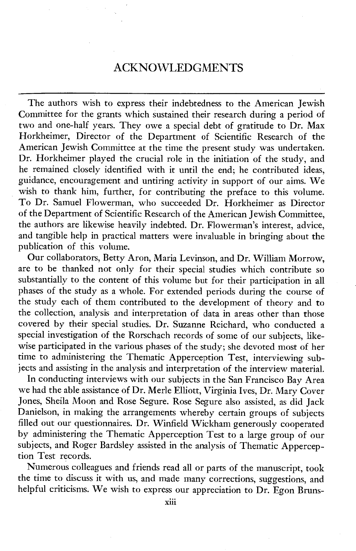## ACKNOWLEDGMENTS

The authors wish to express their indebtedness to the American Jewish<br>Committee for the grants which sustained their research during a period of<br>two and one-half years. They owe a special debt of gratitude to Dr. Max Horkheimer, Director of the Department of Scientific Research of the American Jewish Committee at the time the present study was undertaken. Dr. Horkheimer played the crucial role in the initiation of the study, and American Jewish Committee at the time the present study was undertaken.<br>Dr. Horkheimer played the crucial role in the initiation of the study, and<br>he remained closely identified with it until the end; he contributed ideas, American Jewish Committee at the time the present study was undertaken.<br>Dr. Horkheimer played the crucial role in the initiation of the study, and<br>he remained closely identified with it until the end; he contributed ideas, he remained closely identified with it until the end; he contributed ideas, guidance, encouragement and untiring activity in support of our aims. We wish to thank him, further, for contributing the preface to this volume. wish to thank him, further, for contributing the preface to this volume.<br>To Dr. Samuel Flowerman, who succeeded Dr. Horkheimer as Director<br>of the Department of Scientific Research of the American Jewish Committee,<br>the auth of the Department of Scientific Research of the American Jewish Committee,<br>the authors are likewise heavily indebted. Dr. Flowerman's interest, advice,<br>and tangible help in practical matters were invaluable in bringing abo the authors are likewise heavily indebted. Dr. Flowerman's interest, advice,<br>and tangible help in practical matters were invaluable in bringing about the and tangible help in practical matters were invaluable in bringing about the<br>publication of this volume.

publication of this volume.<br>Our collaborators, Betty Aron, Maria Levinson, and Dr. William Morrow, are to be thanked not only for their special studies which contribute so substantially to the content of this volume but for their participation in all phases of the study as a whole. For extended periods during the course of the study each of them contributed to the development of theory and to the collection, analysis and interpretation of data in areas other than those covered by their special studies. Dr. Suzanne Reichard, who conducted a special investigation of the Rorschach records of some of our subjects, likewise participated in the various phases of the study; she devoted most of covered by their special studies. Dr. Suzanne Reichard, who conducted a special investigation of the Rorschach records of some of our subjects, like-<br>wise participated in the various phases of the study; she devoted most o special investigation of the Rorschach records of some of our subjects, like-<br>wise participated in the various phases of the study; she devoted most of her<br>time to administering the Thematic Apperception Test, interviewing jects and assisting in the analysis and interpretation of the interview material.

In conducting interviews with our subjects in the San Francisco Bay Area<br>we had the able assistance of Dr. Merle Elliott, Virginia Ives, Dr. Mary Cover<br>Jones, Sheila Moon and Rose Segure. Rose Segure also assisted, as did we had the able assistance of Dr. Merle Elliott, Virginia Ives, Dr. Mary Cover Danielson, in making the arrangements whereby certain groups of subjects filled out our questionnaires. Dr. Winfield Wickham generously cooperated Danielson, in making the arrangements whereby certain groups of subjects filled out our questionnaires. Dr. Winfield Wickham generously cooperated by administering the Thematic Apperception Test to a large group of our sub by administering the Thematic Apperception Test to a large group of our subjects, and Roger Bardsley assisted in the analysis of Thematic Apperception Test records.<br>Numerous colleagues and friends read all or parts of the tion Test records.<br>Numerous colleagues and friends read all or parts of the manuscript, took

 Numerous colleagues and friends read all or parts of the manuscript, tookthe time to discuss it with us, and made many corrections, suggestions, and<br>helpful criticisms. We wish to express our appreciation to Dr. Egon Bruns<br>xiii helpful criticisms. We wish to express our appreciation to Dr. Egon Bruns-<br>xiii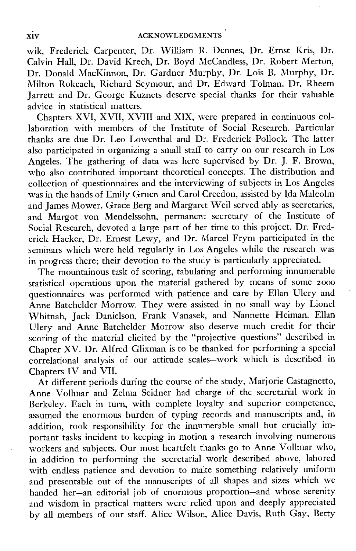ACKNOWLEDGMENTS<br>wik, Frederick Carpenter, Dr. William R. Dennes, Dr. Ernst Kris, Dr.<br>Calvin Hall, Dr. David Krech, Dr. Boyd McCandless, Dr. Robert Merton,<br>Dr. Donald MacKinnon, Dr. Gardner Murphy, Dr. Lois B. Murphy, Dr.<br>M Jarrett and Dr. George Kuznets deserve special thanks for their valuable advice in statistical matters.

Chapters XVI, XVII, XVIII and XIX, were prepared in continuous collaboration with members of the Institute of Social Research. Particular thanks are due Dr. Leo Lowenthal and Dr. Frederick Pollock. The latter also particip Angeles. The gathering of data was here supervised by Dr. J. F. Brown, who also contributed important theoretical concepts. The distribution and collection of questionnaires and the interviewing of subjects in Los Angeles  $\frac{d}{dx}$  who also contributed important theoretical concepts. The distribution and was in the hands of Emily Gruen and Carol Creedon, assisted by Ida Malcolm<br>and James Mower. Grace Berg and Margaret Weil served ably as secretaries,<br>and Margot von Mendelssohn, permanent secretary of the Institute of<br>Socia erick Hacker, Dr. Ernest Lewy, and Dr. Marcel Frym participated in the seminars which were held regularly in Los Angeles while the research was in progress there; their devotion to the study is particularly appreciated.<br>Th

seminars which were held regularly in Los Angeles while the research was<br>in progress there; their devotion to the study is particularly appreciated.<br>The mountainous task of scoring, tabulating and performing innumerable<br>st statistical operations upon the material gathered by means of some 2000<br>questionnaires was performed with patience and care by Ellan Ulery and<br>Anne Batchelder Morrow. They were assisted in no small way by Lionel<br>Whitnah. J questionnaires was performed with patience and care by Ellan Ulery and<br>Anne Batchelder Morrow. They were assisted in no small way by Lionel<br>Whitnah, Jack Danielson, Frank Vanasek, and Nannette Heiman. Ellan<br>Ulery and Anne Anne Batchelder Morrow. They were assisted in no small way by Lionel<br>Whitnah, Jack Danielson, Frank Vanasek, and Nannette Heiman. Ellan<br>Ulery and Anne Batchelder Morrow also deserve much credit for their<br>scoring of the mat Ulery and Anne Batchelder Morrow also deserve much credit for their scoring of the material elicited by the "projective questions" described in Chapter XV. Dr. Alfred Glixman is to be thanked for performing a special corre Contrelational analysis of our attitude scales—work which is described in<br>Chapters IV and VII.<br>At different periods during the course of the study, Marjorie Castagnetto,

Anne Vollmar and Zelma Seidner had charge of the secretarial work in Berkeley. Each in turn, with complete loyalty and superior competence, assumed the enormous burden of typing records and manuscripts and, in addition, took responsibility for the innumerable small but crucially important tasks incident to keeping in motion a research involving numerous worker addition, took responsibility for the innumerable small but crucially im-<br>portant tasks incident to keeping in motion a research involving numerous<br>workers and subjects. Our most heartfelt thanks go to Anne Vollmar who,<br>in workers and subjects. Our most heartfelt thanks go to Anne Vollmar who, in addition to performing the secretarial work described above, labored with endless patience and devotion to make something relatively uniform with endless patience and devotion to make something relatively uniform<br>and presentable out of the manuscripts of all shapes and sizes which we<br>handed her-an editorial job of enormous proportion-and whose serenity and wisdom in practical matters were relied upon and deeply appreciated by all members of our staff. Alice Wilson, Alice Davis, Ruth Gay, Betty